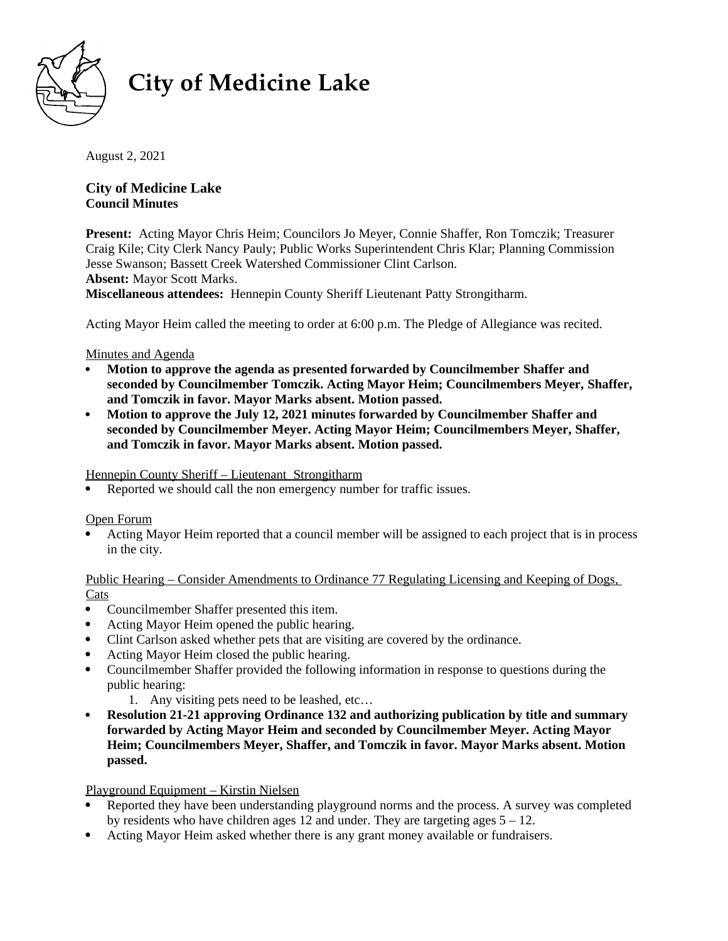

# **City of Medicine Lake**

August 2, 2021

**City of Medicine Lake Council Minutes** 

**Present:** Acting Mayor Chris Heim; Councilors Jo Meyer, Connie Shaffer, Ron Tomczik; Treasurer Craig Kile; City Clerk Nancy Pauly; Public Works Superintendent Chris Klar; Planning Commission Jesse Swanson; Bassett Creek Watershed Commissioner Clint Carlson. **Absent:** Mayor Scott Marks. **Miscellaneous attendees:** Hennepin County Sheriff Lieutenant Patty Strongitharm.

Acting Mayor Heim called the meeting to order at 6:00 p.m. The Pledge of Allegiance was recited.

Minutes and Agenda

- **Motion to approve the agenda as presented forwarded by Councilmember Shaffer and seconded by Councilmember Tomczik. Acting Mayor Heim; Councilmembers Meyer, Shaffer, and Tomczik in favor. Mayor Marks absent. Motion passed.**
- **Motion to approve the July 12, 2021 minutes forwarded by Councilmember Shaffer and seconded by Councilmember Meyer. Acting Mayor Heim; Councilmembers Meyer, Shaffer, and Tomczik in favor. Mayor Marks absent. Motion passed.**

Hennepin County Sheriff – Lieutenant Strongitharm

Reported we should call the non emergency number for traffic issues.

Open Forum

 Acting Mayor Heim reported that a council member will be assigned to each project that is in process in the city.

 Public Hearing – Consider Amendments to Ordinance 77 Regulating Licensing and Keeping of Dogs, Cats

- Councilmember Shaffer presented this item.
- Acting Mayor Heim opened the public hearing.
- Clint Carlson asked whether pets that are visiting are covered by the ordinance.
- Acting Mayor Heim closed the public hearing.
- Councilmember Shaffer provided the following information in response to questions during the public hearing:
	- 1. Any visiting pets need to be leashed, etc…
- **Resolution 21-21 approving Ordinance 132 and authorizing publication by title and summary forwarded by Acting Mayor Heim and seconded by Councilmember Meyer. Acting Mayor Heim; Councilmembers Meyer, Shaffer, and Tomczik in favor. Mayor Marks absent. Motion passed.**

# Playground Equipment – Kirstin Nielsen

- Reported they have been understanding playground norms and the process. A survey was completed by residents who have children ages 12 and under. They are targeting ages 5 – 12.
- Acting Mayor Heim asked whether there is any grant money available or fundraisers.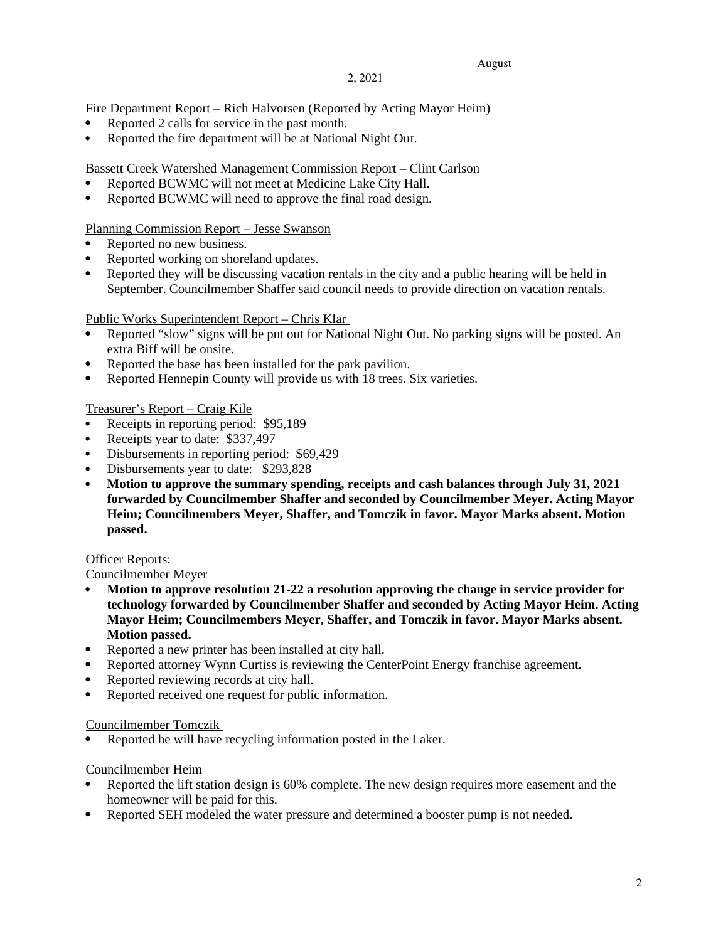#### 2, 2021

Fire Department Report – Rich Halvorsen (Reported by Acting Mayor Heim)

- Reported 2 calls for service in the past month.
- Reported the fire department will be at National Night Out.

Bassett Creek Watershed Management Commission Report – Clint Carlson

- Reported BCWMC will not meet at Medicine Lake City Hall.
- Reported BCWMC will need to approve the final road design.

## Planning Commission Report – Jesse Swanson

- Reported no new business.
- Reported working on shoreland updates.
- Reported they will be discussing vacation rentals in the city and a public hearing will be held in September. Councilmember Shaffer said council needs to provide direction on vacation rentals.

## Public Works Superintendent Report – Chris Klar

- Reported "slow" signs will be put out for National Night Out. No parking signs will be posted. An extra Biff will be onsite.
- Reported the base has been installed for the park pavilion.
- Reported Hennepin County will provide us with 18 trees. Six varieties.

## Treasurer's Report – Craig Kile

- Receipts in reporting period: \$95,189
- Receipts year to date: \$337,497
- Disbursements in reporting period: \$69,429
- Disbursements year to date: \$293,828
- **Motion to approve the summary spending, receipts and cash balances through July 31, 2021 forwarded by Councilmember Shaffer and seconded by Councilmember Meyer. Acting Mayor Heim; Councilmembers Meyer, Shaffer, and Tomczik in favor. Mayor Marks absent. Motion passed.**

## **Officer Reports:**

## Councilmember Meyer

- **Motion to approve resolution 21-22 a resolution approving the change in service provider for technology forwarded by Councilmember Shaffer and seconded by Acting Mayor Heim. Acting Mayor Heim; Councilmembers Meyer, Shaffer, and Tomczik in favor. Mayor Marks absent. Motion passed.**
- Reported a new printer has been installed at city hall.
- Reported attorney Wynn Curtiss is reviewing the CenterPoint Energy franchise agreement.
- Reported reviewing records at city hall.
- Reported received one request for public information.

## Councilmember Tomczik

Reported he will have recycling information posted in the Laker.

## Councilmember Heim

- Reported the lift station design is 60% complete. The new design requires more easement and the homeowner will be paid for this.
- Reported SEH modeled the water pressure and determined a booster pump is not needed.